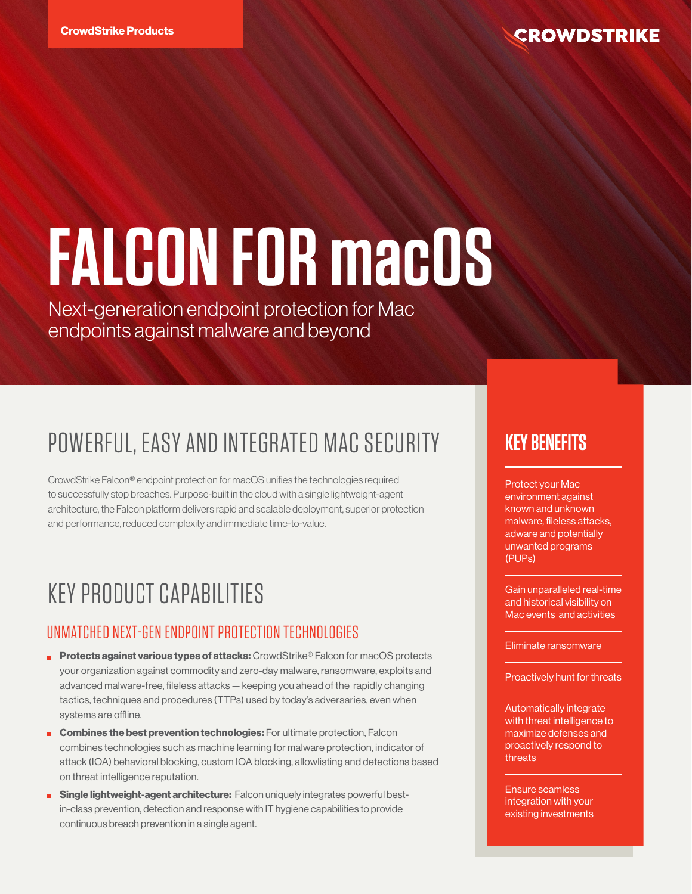# **FALCON FOR macOS**

Next-generation endpoint protection for Mac endpoints against malware and beyond

# POWERFUL, EASY AND INTEGRATED MAC SECURITY

CrowdStrike Falcon® endpoint protection for macOS unifies the technologies required to successfully stop breaches. Purpose-built in the cloud with a single lightweight-agent architecture, the Falcon platform delivers rapid and scalable deployment, superior protection and performance, reduced complexity and immediate time-to-value.

# KEY PRODUCT CAPABILITIES

# UNMATCHED NEXT-GEN ENDPOINT PROTECTION TECHNOLOGIES

- **Protects against various types of attacks:** CrowdStrike<sup>®</sup> Falcon for macOS protects your organization against commodity and zero-day malware, ransomware, exploits and advanced malware-free, fileless attacks — keeping you ahead of the rapidly changing tactics, techniques and procedures (TTPs) used by today's adversaries, even when systems are offline.
- **Combines the best prevention technologies:** For ultimate protection, Falcon combines technologies such as machine learning for malware protection, indicator of attack (IOA) behavioral blocking, custom IOA blocking, allowlisting and detections based on threat intelligence reputation.
- **Single lightweight-agent architecture:** Falcon uniquely integrates powerful bestin-class prevention, detection and response with IT hygiene capabilities to provide continuous breach prevention in a single agent.

# **KEY BENEFITS**

Protect your Mac environment against known and unknown malware, fileless attacks, adware and potentially unwanted programs (PUPs)

Gain unparalleled real-time and historical visibility on Mac events and activities

#### Eliminate ransomware

Proactively hunt for threats

Automatically integrate with threat intelligence to maximize defenses and proactively respond to threats

Ensure seamless integration with your existing investments